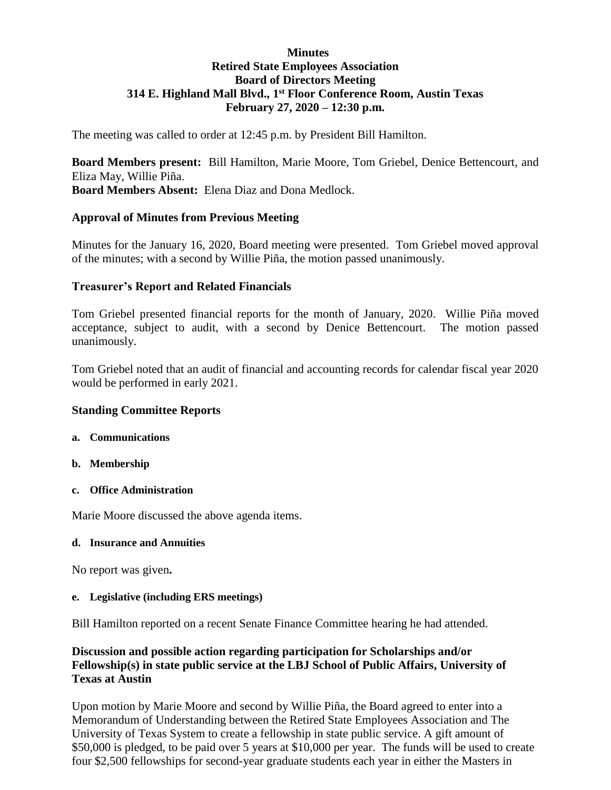# **Minutes Retired State Employees Association Board of Directors Meeting 314 E. Highland Mall Blvd., 1 st Floor Conference Room, Austin Texas February 27, 2020 – 12:30 p.m.**

The meeting was called to order at 12:45 p.m. by President Bill Hamilton.

**Board Members present:** Bill Hamilton, Marie Moore, Tom Griebel, Denice Bettencourt, and Eliza May, Willie Piña. **Board Members Absent:** Elena Diaz and Dona Medlock.

### **Approval of Minutes from Previous Meeting**

Minutes for the January 16, 2020, Board meeting were presented. Tom Griebel moved approval of the minutes; with a second by Willie Piña, the motion passed unanimously.

### **Treasurer's Report and Related Financials**

Tom Griebel presented financial reports for the month of January, 2020. Willie Piña moved acceptance, subject to audit, with a second by Denice Bettencourt. The motion passed unanimously.

Tom Griebel noted that an audit of financial and accounting records for calendar fiscal year 2020 would be performed in early 2021.

#### **Standing Committee Reports**

- **a. Communications**
- **b. Membership**
- **c. Office Administration**

Marie Moore discussed the above agenda items.

#### **d. Insurance and Annuities**

No report was given**.** 

#### **e. Legislative (including ERS meetings)**

Bill Hamilton reported on a recent Senate Finance Committee hearing he had attended.

# **Discussion and possible action regarding participation for Scholarships and/or Fellowship(s) in state public service at the LBJ School of Public Affairs, University of Texas at Austin**

Upon motion by Marie Moore and second by Willie Piña, the Board agreed to enter into a Memorandum of Understanding between the Retired State Employees Association and The University of Texas System to create a fellowship in state public service. A gift amount of \$50,000 is pledged, to be paid over 5 years at \$10,000 per year. The funds will be used to create four \$2,500 fellowships for second-year graduate students each year in either the Masters in